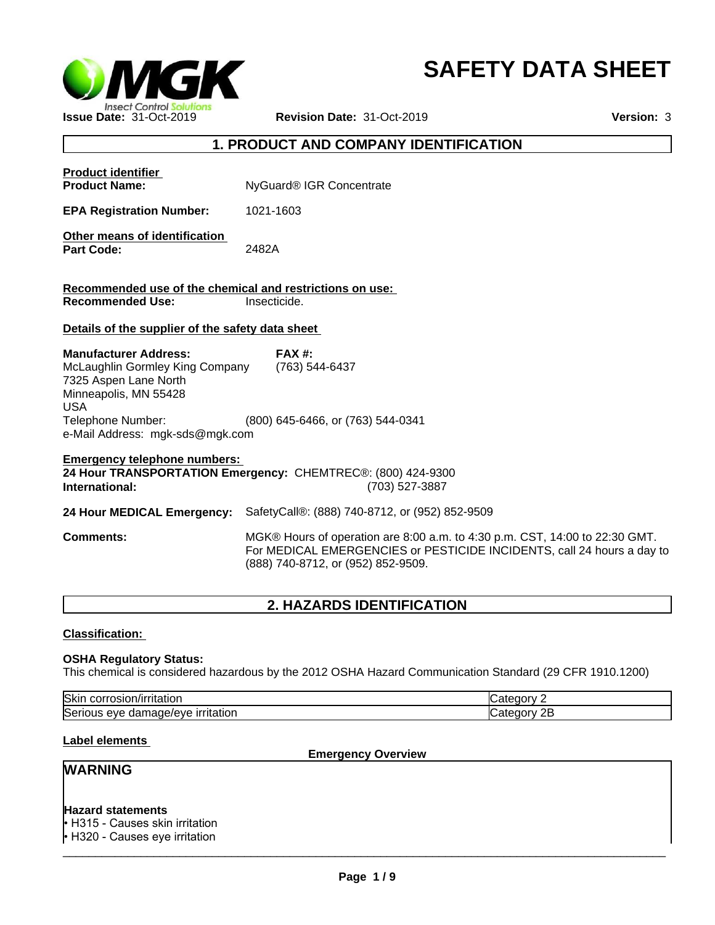

# **SAFETY DATA SHEET**

## **1. PRODUCT AND COMPANY IDENTIFICATION**

| <b>Product identifier</b><br><b>Product Name:</b>                                                                                                                                       | NyGuard <sup>®</sup> IGR Concentrate                                                                                                                                                        |  |
|-----------------------------------------------------------------------------------------------------------------------------------------------------------------------------------------|---------------------------------------------------------------------------------------------------------------------------------------------------------------------------------------------|--|
| <b>EPA Registration Number:</b>                                                                                                                                                         | 1021-1603                                                                                                                                                                                   |  |
| Other means of identification<br><b>Part Code:</b>                                                                                                                                      | 2482A                                                                                                                                                                                       |  |
| Recommended use of the chemical and restrictions on use:<br><b>Recommended Use:</b><br>Insecticide.                                                                                     |                                                                                                                                                                                             |  |
| Details of the supplier of the safety data sheet                                                                                                                                        |                                                                                                                                                                                             |  |
| <b>Manufacturer Address:</b><br>McLaughlin Gormley King Company<br>7325 Aspen Lane North<br>Minneapolis, MN 55428<br><b>USA</b><br>Telephone Number:<br>e-Mail Address: mgk-sds@mgk.com | $FAX#$ :<br>(763) 544-6437<br>(800) 645-6466, or (763) 544-0341                                                                                                                             |  |
| <b>Emergency telephone numbers:</b><br>24 Hour TRANSPORTATION Emergency: CHEMTREC®: (800) 424-9300<br>(703) 527-3887<br>International:                                                  |                                                                                                                                                                                             |  |
| 24 Hour MEDICAL Emergency:                                                                                                                                                              | SafetyCall®: (888) 740-8712, or (952) 852-9509                                                                                                                                              |  |
| <b>Comments:</b>                                                                                                                                                                        | MGK® Hours of operation are 8:00 a.m. to 4:30 p.m. CST, 14:00 to 22:30 GMT.<br>For MEDICAL EMERGENCIES or PESTICIDE INCIDENTS, call 24 hours a day to<br>(888) 740-8712, or (952) 852-9509. |  |

# **2. HAZARDS IDENTIFICATION**

## **Classification:**

#### **OSHA Regulatory Status:**

This chemical is considered hazardous by the 2012 OSHA Hazard Communication Standard (29 CFR 1910.1200)

| Skir<br>----<br>JULL.<br>LIUT.           |  |
|------------------------------------------|--|
| lSer<br>۷٬۴<br>AVA<br>н۶<br>. 600<br>uai |  |

#### **Label elements**

**Emergency Overview**

# **WARNING**

#### **Hazard statements**

• H315 - Causes skin irritation • H320 - Causes eye irritation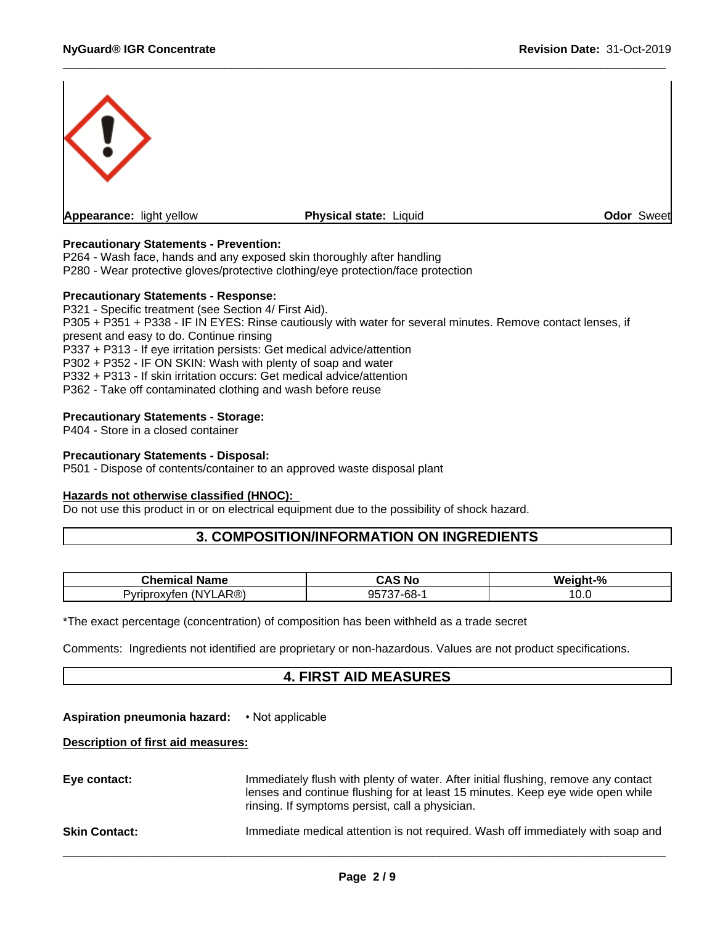

## **Precautionary Statements - Prevention:**

P264 - Wash face, hands and any exposed skin thoroughly after handling P280 - Wear protective gloves/protective clothing/eye protection/face protection

#### **Precautionary Statements - Response:**

P321 - Specific treatment (see Section 4/ First Aid). P305 + P351 + P338 - IF IN EYES: Rinse cautiously with water for several minutes. Remove contact lenses, if present and easy to do. Continue rinsing P337 + P313 - If eye irritation persists: Get medical advice/attention P302 + P352 - IF ON SKIN: Wash with plenty of soap and water P332 + P313 - If skin irritation occurs: Get medical advice/attention P362 - Take off contaminated clothing and wash before reuse

#### **Precautionary Statements - Storage:**

P404 - Store in a closed container

#### **Precautionary Statements - Disposal:**

P501 - Dispose of contents/container to an approved waste disposal plant

#### **Hazards not otherwise classified (HNOC):**

Do not use this product in or on electrical equipment due to the possibility of shock hazard.

## **3. COMPOSITION/INFORMATION ON INGREDIENTS**

| Chemical<br>Name                         | $\mathbf{A} \mathbf{A} \mathbf{B}$<br>, нс<br>JAJ. | Weight-%      |
|------------------------------------------|----------------------------------------------------|---------------|
| AR®)<br>(NY<br>oroxvter<br>ovrin/<br>1nr | 05727.60<br>- הר<br>ו טו<br>، ب<br>vv              | $\sim$<br>v.v |

\*The exact percentage (concentration) of composition has been withheld as a trade secret

Comments: Ingredients not identified are proprietary or non-hazardous. Values are not product specifications.

## **4. FIRST AID MEASURES**

#### **Aspiration pneumonia hazard:** •Notapplicable

#### **Description of first aid measures:**

| Eye contact:         | Immediately flush with plenty of water. After initial flushing, remove any contact<br>lenses and continue flushing for at least 15 minutes. Keep eye wide open while<br>rinsing. If symptoms persist, call a physician. |
|----------------------|-------------------------------------------------------------------------------------------------------------------------------------------------------------------------------------------------------------------------|
| <b>Skin Contact:</b> | Immediate medical attention is not required. Wash off immediately with soap and                                                                                                                                         |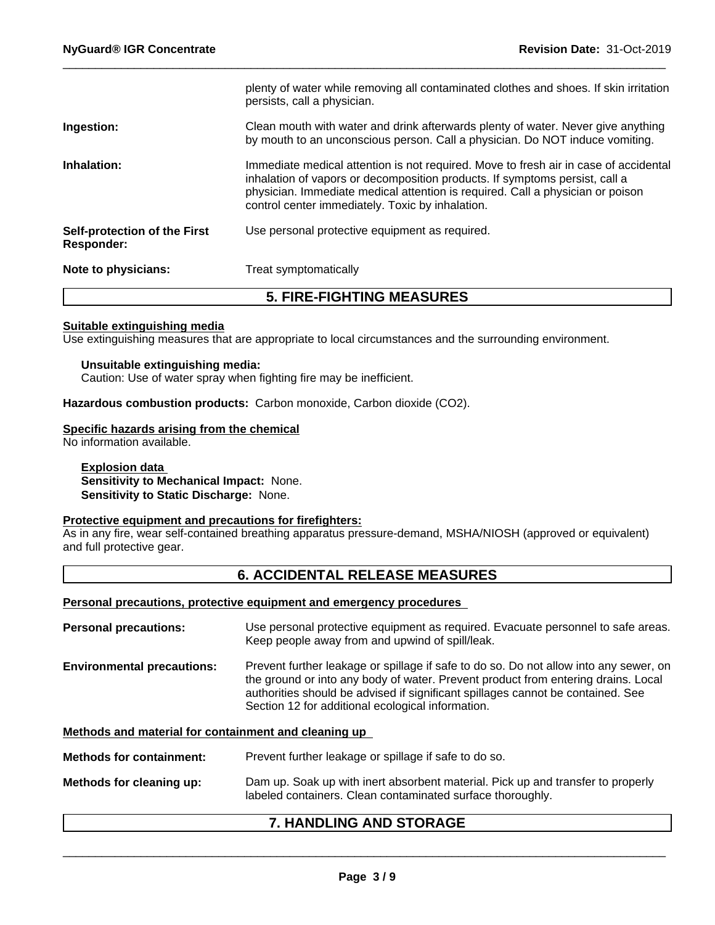|                                            | plenty of water while removing all contaminated clothes and shoes. If skin irritation<br>persists, call a physician.                                                                                                                                                                                      |
|--------------------------------------------|-----------------------------------------------------------------------------------------------------------------------------------------------------------------------------------------------------------------------------------------------------------------------------------------------------------|
| Ingestion:                                 | Clean mouth with water and drink afterwards plenty of water. Never give anything<br>by mouth to an unconscious person. Call a physician. Do NOT induce vomiting.                                                                                                                                          |
| Inhalation:                                | Immediate medical attention is not required. Move to fresh air in case of accidental<br>inhalation of vapors or decomposition products. If symptoms persist, call a<br>physician. Immediate medical attention is required. Call a physician or poison<br>control center immediately. Toxic by inhalation. |
| Self-protection of the First<br>Responder: | Use personal protective equipment as required.                                                                                                                                                                                                                                                            |
| Note to physicians:                        | Treat symptomatically                                                                                                                                                                                                                                                                                     |

# **5. FIRE-FIGHTING MEASURES**

## **Suitable extinguishing media**

Use extinguishing measures that are appropriate to local circumstances and the surrounding environment.

#### **Unsuitable extinguishing media:**

Caution: Use of water spray when fighting fire may be inefficient.

**Hazardous combustion products:** Carbon monoxide, Carbon dioxide (CO2).

#### **Specific hazards arising from the chemical**

No information available.

#### **Explosion data Sensitivity to Mechanical Impact:** None. **Sensitivity to Static Discharge:** None.

## **Protective equipment and precautions for firefighters:**

As in any fire, wear self-contained breathing apparatus pressure-demand, MSHA/NIOSH (approved or equivalent) and full protective gear.

## **6. ACCIDENTAL RELEASE MEASURES**

#### **Personal precautions, protective equipment and emergency procedures**

| <b>Personal precautions:</b>                         | Use personal protective equipment as required. Evacuate personnel to safe areas.<br>Keep people away from and upwind of spill/leak.                                                                                                                                                                                |
|------------------------------------------------------|--------------------------------------------------------------------------------------------------------------------------------------------------------------------------------------------------------------------------------------------------------------------------------------------------------------------|
| <b>Environmental precautions:</b>                    | Prevent further leakage or spillage if safe to do so. Do not allow into any sewer, on<br>the ground or into any body of water. Prevent product from entering drains. Local<br>authorities should be advised if significant spillages cannot be contained. See<br>Section 12 for additional ecological information. |
| Methods and material for containment and cleaning up |                                                                                                                                                                                                                                                                                                                    |
| <b>Methods for containment:</b>                      | Prevent further leakage or spillage if safe to do so.                                                                                                                                                                                                                                                              |
| Methods for cleaning up:                             | Dam up. Soak up with inert absorbent material. Pick up and transfer to properly                                                                                                                                                                                                                                    |

# labeled containers. Clean contaminated surface thoroughly.

## **7. HANDLING AND STORAGE**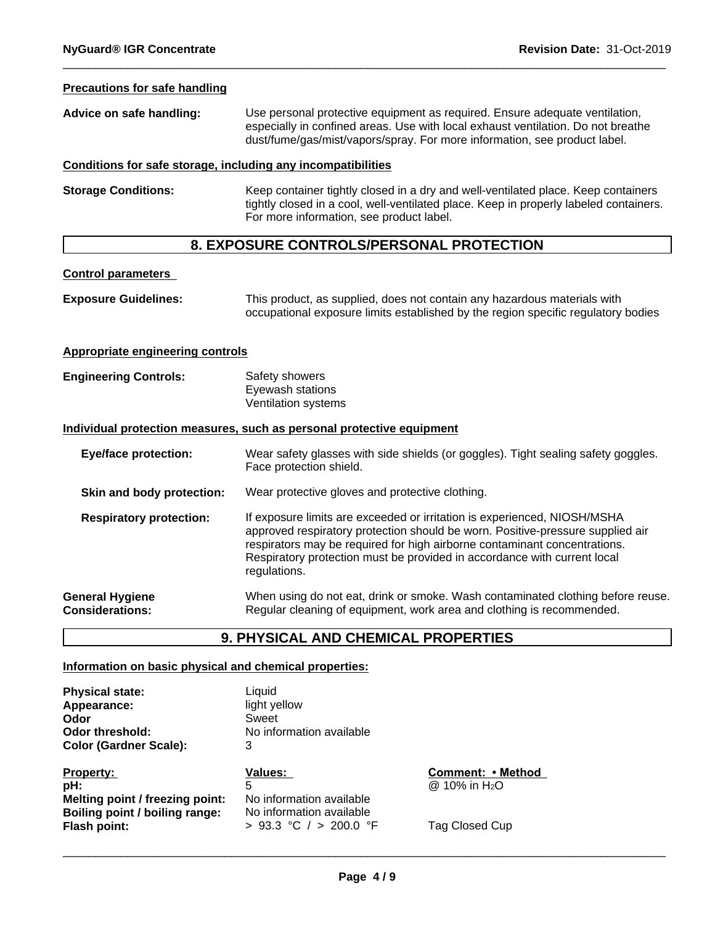#### **Precautions for safe handling**

| Advice on safe handling: | Use personal protective equipment as required. Ensure adequate ventilation,      |
|--------------------------|----------------------------------------------------------------------------------|
|                          | especially in confined areas. Use with local exhaust ventilation. Do not breathe |
|                          | dust/fume/gas/mist/vapors/spray. For more information, see product label.        |

#### **Conditions for safe storage, including any incompatibilities**

**Storage Conditions:** Keep container tightly closed in a dry and well-ventilated place. Keep containers tightly closed in a cool, well-ventilated place. Keep in properly labeled containers. For more information, see product label.

# **8. EXPOSURE CONTROLS/PERSONAL PROTECTION**

#### **Control parameters**

| <b>Exposure Guidelines:</b> | This product, as supplied, does not contain any hazardous materials with          |
|-----------------------------|-----------------------------------------------------------------------------------|
|                             | occupational exposure limits established by the region specific regulatory bodies |

#### **Appropriate engineering controls**

**Engineering Controls:** Safety showers Eyewash stations Ventilation systems

#### **Individual protection measures, such as personal protective equipment**

| <b>Eye/face protection:</b>                      | Wear safety glasses with side shields (or goggles). Tight sealing safety goggles.<br>Face protection shield.                                                                                                                                                                                                                        |
|--------------------------------------------------|-------------------------------------------------------------------------------------------------------------------------------------------------------------------------------------------------------------------------------------------------------------------------------------------------------------------------------------|
| Skin and body protection:                        | Wear protective gloves and protective clothing.                                                                                                                                                                                                                                                                                     |
| <b>Respiratory protection:</b>                   | If exposure limits are exceeded or irritation is experienced, NIOSH/MSHA<br>approved respiratory protection should be worn. Positive-pressure supplied air<br>respirators may be required for high airborne contaminant concentrations.<br>Respiratory protection must be provided in accordance with current local<br>regulations. |
| <b>General Hygiene</b><br><b>Considerations:</b> | When using do not eat, drink or smoke. Wash contaminated clothing before reuse.<br>Regular cleaning of equipment, work area and clothing is recommended.                                                                                                                                                                            |

# **9. PHYSICAL AND CHEMICAL PROPERTIES**

#### **Information on basic physical and chemical properties:**

| <b>Physical state:</b>          | Liquid                   |                           |
|---------------------------------|--------------------------|---------------------------|
| Appearance:<br>Odor             | light yellow<br>Sweet    |                           |
| <b>Odor threshold:</b>          | No information available |                           |
| <b>Color (Gardner Scale):</b>   | 3                        |                           |
| Property:                       | Values:                  | Comment: • Method         |
| pH:                             |                          | @ 10% in H <sub>2</sub> O |
| Melting point / freezing point: | No information available |                           |
| Boiling point / boiling range:  | No information available |                           |
| Flash point:                    | > 93.3 °C / > 200.0 °F   | Tag Closed Cup            |
|                                 |                          |                           |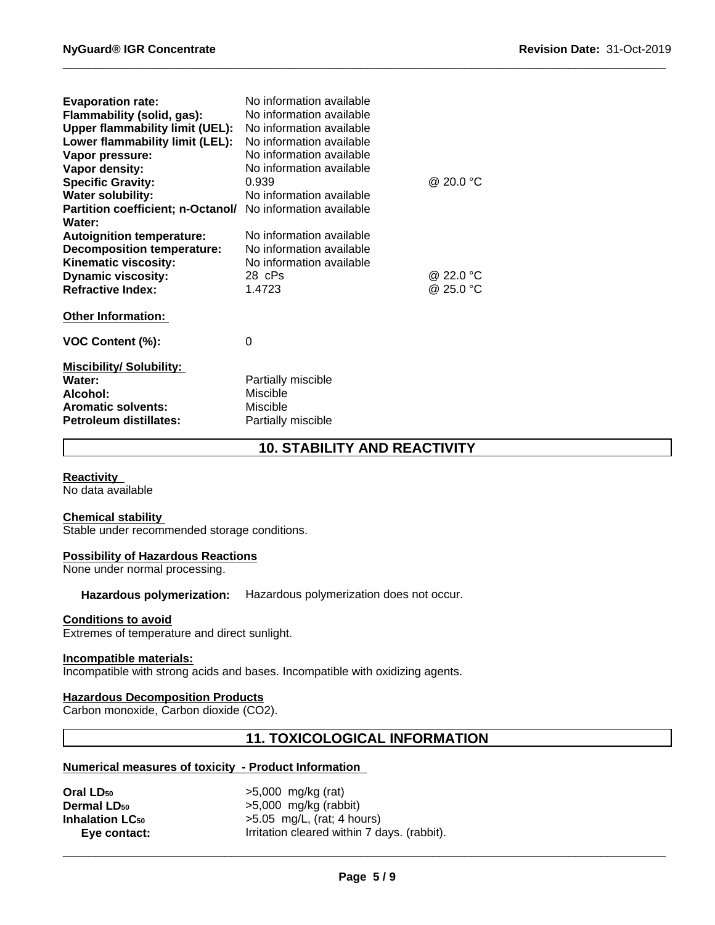| <b>Evaporation rate:</b><br>Flammability (solid, gas):<br><b>Upper flammability limit (UEL):</b><br>Lower flammability limit (LEL): | No information available<br>No information available<br>No information available<br>No information available |           |
|-------------------------------------------------------------------------------------------------------------------------------------|--------------------------------------------------------------------------------------------------------------|-----------|
| Vapor pressure:                                                                                                                     | No information available                                                                                     |           |
| Vapor density:                                                                                                                      | No information available                                                                                     |           |
| <b>Specific Gravity:</b>                                                                                                            | 0.939                                                                                                        | @ 20.0 °C |
| <b>Water solubility:</b>                                                                                                            | No information available                                                                                     |           |
| <b>Partition coefficient; n-Octanol/</b><br>Water:                                                                                  | No information available                                                                                     |           |
| <b>Autoignition temperature:</b>                                                                                                    | No information available                                                                                     |           |
| <b>Decomposition temperature:</b>                                                                                                   | No information available                                                                                     |           |
| Kinematic viscosity:                                                                                                                | No information available                                                                                     |           |
| <b>Dynamic viscosity:</b>                                                                                                           | 28 cPs                                                                                                       | @ 22.0 °C |
| <b>Refractive Index:</b>                                                                                                            | 1.4723                                                                                                       | @ 25.0 °C |
| <b>Other Information:</b>                                                                                                           |                                                                                                              |           |
| VOC Content (%):                                                                                                                    | 0                                                                                                            |           |
| <b>Miscibility/ Solubility:</b>                                                                                                     |                                                                                                              |           |
| Water:                                                                                                                              | Partially miscible                                                                                           |           |
| Alcohol:                                                                                                                            | <b>Miscible</b>                                                                                              |           |
| <b>Aromatic solvents:</b>                                                                                                           | Miscible                                                                                                     |           |
| <b>Petroleum distillates:</b>                                                                                                       | Partially miscible                                                                                           |           |

# **10. STABILITY AND REACTIVITY**

**Reactivity** 

No data available

#### **Chemical stability**

Stable under recommended storage conditions.

#### **Possibility of Hazardous Reactions**

None under normal processing.

**Hazardous polymerization:** Hazardous polymerization does not occur.

#### **Conditions to avoid**

Extremes of temperature and direct sunlight.

## **Incompatible materials:**

Incompatible with strong acids and bases. Incompatible with oxidizing agents.

#### **Hazardous Decomposition Products**

Carbon monoxide, Carbon dioxide (CO2).

# **11. TOXICOLOGICAL INFORMATION**

## **Numerical measures of toxicity - Product Information**

| Oral LD <sub>50</sub>         | $>5,000$ mg/kg (rat)                        |
|-------------------------------|---------------------------------------------|
| <b>Dermal LD<sub>50</sub></b> | $>5,000$ mg/kg (rabbit)                     |
| <b>Inhalation LC50</b>        | $>5.05$ mg/L, (rat; 4 hours)                |
| Eye contact:                  | Irritation cleared within 7 days. (rabbit). |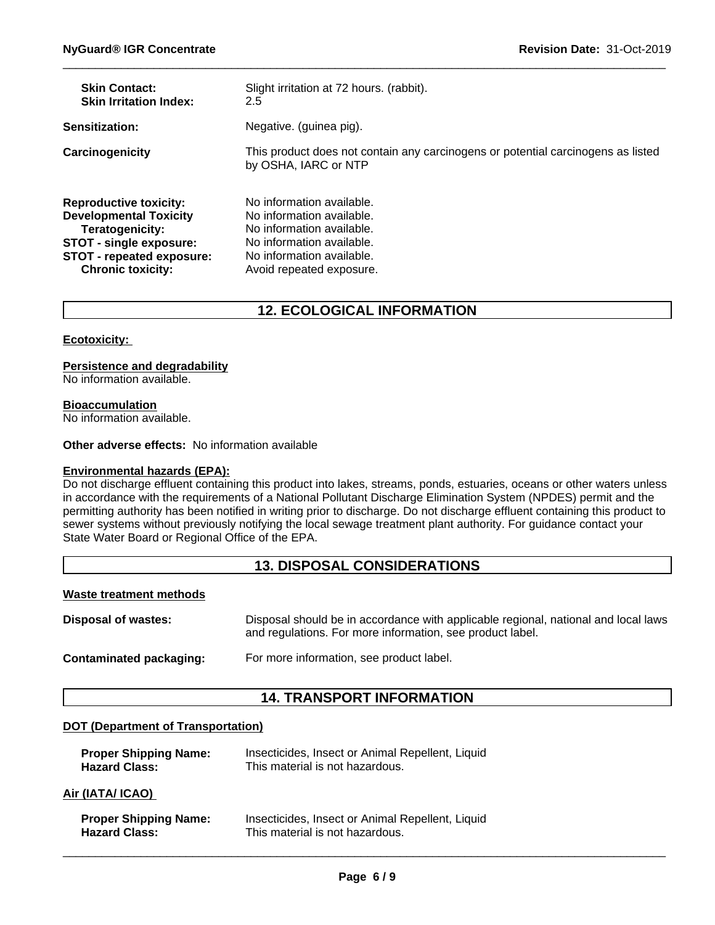| <b>Skin Contact:</b>             | Slight irritation at 72 hours. (rabbit).                                                                 |
|----------------------------------|----------------------------------------------------------------------------------------------------------|
| <b>Skin Irritation Index:</b>    | 2.5                                                                                                      |
| <b>Sensitization:</b>            | Negative. (guinea pig).                                                                                  |
| Carcinogenicity                  | This product does not contain any carcinogens or potential carcinogens as listed<br>by OSHA, IARC or NTP |
| <b>Reproductive toxicity:</b>    | No information available.                                                                                |
| <b>Developmental Toxicity</b>    | No information available.                                                                                |
| Teratogenicity:                  | No information available.                                                                                |
| <b>STOT - single exposure:</b>   | No information available.                                                                                |
| <b>STOT - repeated exposure:</b> | No information available.                                                                                |
| <b>Chronic toxicity:</b>         | Avoid repeated exposure.                                                                                 |

# **12. ECOLOGICAL INFORMATION**

#### **Ecotoxicity:**

#### **Persistence and degradability**

No information available.

#### **Bioaccumulation**

No information available.

#### **Other adverse effects:** No information available

#### **Environmental hazards (EPA):**

Do not discharge effluent containing this product into lakes, streams, ponds, estuaries, oceans or other waters unless in accordance with the requirements of a National Pollutant Discharge Elimination System (NPDES) permit and the permitting authority has been notified in writing prior to discharge. Do not discharge effluent containing this product to sewer systems without previously notifying the local sewage treatment plant authority. For guidance contact your State Water Board or Regional Office of the EPA.

# **13. DISPOSAL CONSIDERATIONS**

#### **Waste treatment methods**

**Disposal of wastes:** Disposal should be in accordance with applicable regional, national and local laws and regulations. For more information, see product label.

**Contaminated packaging:** For more information, see product label.

## **14. TRANSPORT INFORMATION**

## **DOT (Department of Transportation)**

| <b>Proper Shipping Name:</b> | Insecticides, Insect or Animal Repellent, Liquid |
|------------------------------|--------------------------------------------------|
| <b>Hazard Class:</b>         | This material is not hazardous.                  |

#### **Air (IATA/ ICAO)**

| <b>Proper Shipping Name:</b> | Insecticides, Insect or Animal Repellent, Liquid |
|------------------------------|--------------------------------------------------|
| <b>Hazard Class:</b>         | This material is not hazardous.                  |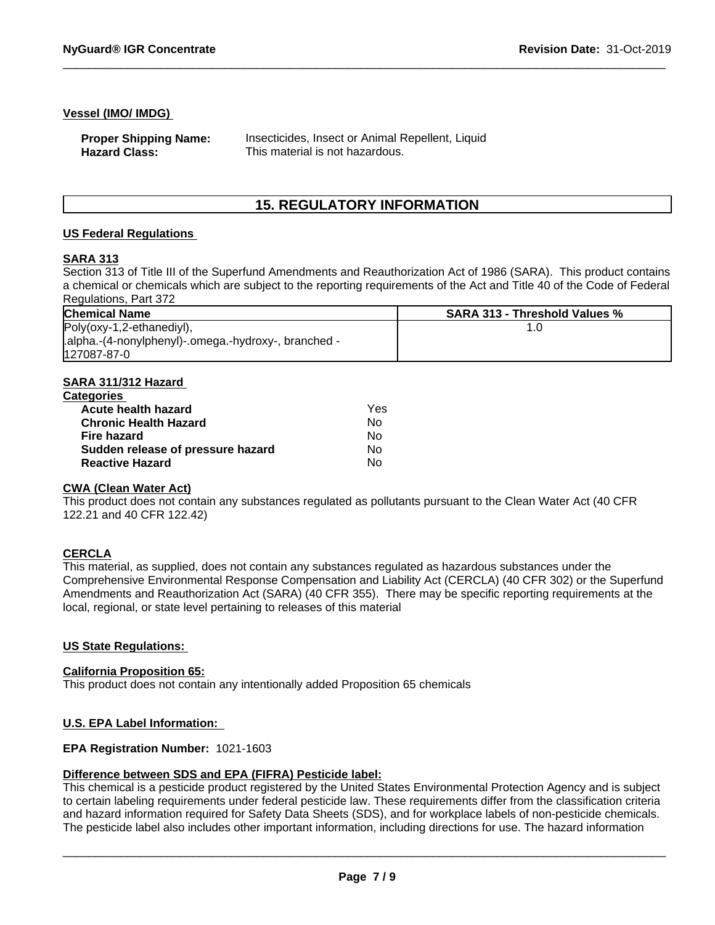#### **Vessel (IMO/ IMDG)**

| <b>Proper Shipping Name:</b> | Insecticides, Insect or Animal Repellent, Liquid |
|------------------------------|--------------------------------------------------|
| <b>Hazard Class:</b>         | This material is not hazardous.                  |

# **15. REGULATORY INFORMATION**

#### **US Federal Regulations**

#### **SARA 313**

Section 313 of Title III of the Superfund Amendments and Reauthorization Act of 1986 (SARA). This product contains a chemical or chemicals which are subject to the reporting requirements of the Act and Title 40 of the Code of Federal Regulations, Part 372

| <b>Chemical Name</b>                                 | <b>SARA 313 - Threshold Values %</b> |
|------------------------------------------------------|--------------------------------------|
| Poly(oxy-1,2-ethanediyl),                            |                                      |
| .alpha.-(4-nonylphenyl)-.omega.-hydroxy-, branched - |                                      |
| 127087-87-0                                          |                                      |

## **SARA 311/312 Hazard**

| <b>Categories</b>                 |     |  |
|-----------------------------------|-----|--|
| Acute health hazard               | Yes |  |
| <b>Chronic Health Hazard</b>      | Nο  |  |
| Fire hazard                       | Nο  |  |
| Sudden release of pressure hazard | No  |  |
| <b>Reactive Hazard</b>            | No  |  |

## **CWA (Clean Water Act)**

This product does not contain any substances regulated as pollutants pursuant to the Clean Water Act (40 CFR 122.21 and 40 CFR 122.42)

#### **CERCLA**

This material, as supplied, does not contain any substances regulated as hazardous substances under the Comprehensive Environmental Response Compensation and Liability Act (CERCLA) (40 CFR 302) or the Superfund Amendments and Reauthorization Act (SARA) (40 CFR 355). There may be specific reporting requirements at the local, regional, or state level pertaining to releases of this material

#### **US State Regulations:**

#### **California Proposition 65:**

This product does not contain any intentionally added Proposition 65 chemicals

#### **U.S. EPA Label Information:**

#### **EPA Registration Number:** 1021-1603

#### **Difference between SDS and EPA (FIFRA) Pesticide label:**

This chemical is a pesticide product registered by the United States Environmental Protection Agency and is subject to certain labeling requirements under federal pesticide law. These requirements differ from the classification criteria and hazard information required for Safety Data Sheets (SDS), and for workplace labels of non-pesticide chemicals. The pesticide label also includes other important information, including directions for use. The hazard information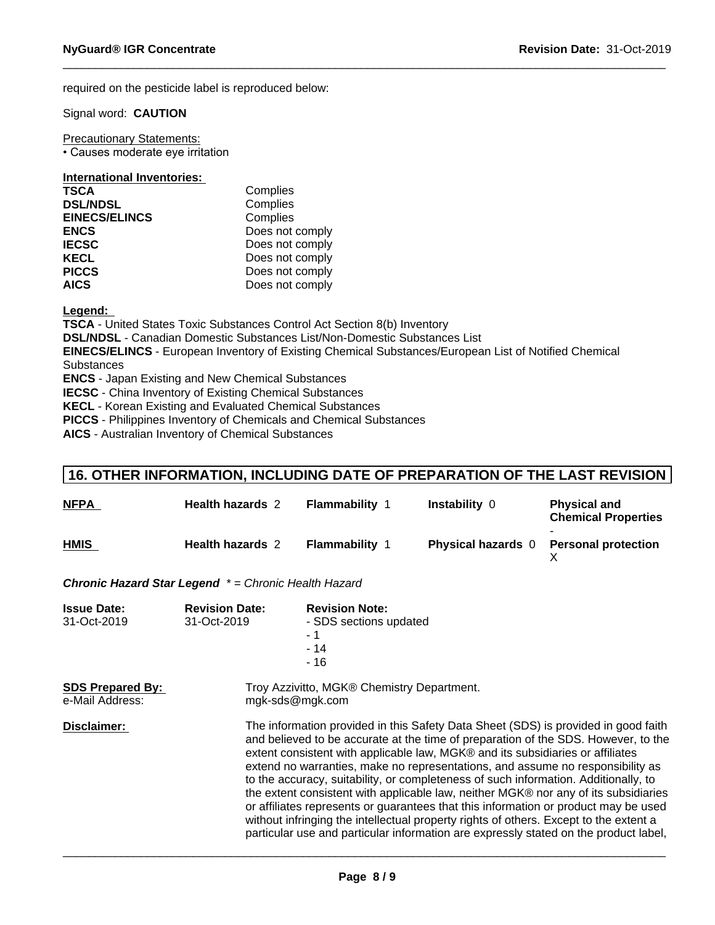required on the pesticide label is reproduced below:

Signal word: **CAUTION**

Precautionary Statements: • Causes moderate eye irritation

#### **International Inventories:**

| <b>TSCA</b>          | Complies        |
|----------------------|-----------------|
| <b>DSL/NDSL</b>      | Complies        |
| <b>EINECS/ELINCS</b> | Complies        |
| <b>ENCS</b>          | Does not comply |
| <b>IECSC</b>         | Does not comply |
| <b>KECL</b>          | Does not comply |
| <b>PICCS</b>         | Does not comply |
| <b>AICS</b>          | Does not comply |

**Legend:** 

**TSCA** - United States Toxic Substances Control Act Section 8(b) Inventory

**DSL/NDSL** - Canadian Domestic Substances List/Non-Domestic Substances List

**EINECS/ELINCS** - European Inventory of Existing Chemical Substances/European List of Notified Chemical **Substances** 

**ENCS** - Japan Existing and New Chemical Substances

**IECSC** - China Inventory of Existing Chemical Substances

**KECL** - Korean Existing and Evaluated Chemical Substances

**PICCS** - Philippines Inventory of Chemicals and Chemical Substances

**AICS** - Australian Inventory of Chemical Substances

## **16. OTHER INFORMATION, INCLUDING DATE OF PREPARATION OF THE LAST REVISION**

| <b>NFPA</b> | <b>Health hazards 2</b> | <b>Flammability 1</b> | <b>Instability 0</b>      | <b>Physical and</b><br><b>Chemical Properties</b> |
|-------------|-------------------------|-----------------------|---------------------------|---------------------------------------------------|
| <b>HMIS</b> | <b>Health hazards 2</b> | <b>Flammability</b>   | <b>Physical hazards</b> 0 | <b>Personal protection</b>                        |

*Chronic Hazard Star Legend \* = Chronic Health Hazard*

| <b>Issue Date:</b><br>31-Oct-2019          | <b>Revision Date:</b><br>31-Oct-2019                                                                                                                                                                                                                                                                                                                                                                                                                                                                                                                                                                                                                                                                                                                                                               | <b>Revision Note:</b><br>- SDS sections updated<br>- 1<br>$-14$<br>- 16 |
|--------------------------------------------|----------------------------------------------------------------------------------------------------------------------------------------------------------------------------------------------------------------------------------------------------------------------------------------------------------------------------------------------------------------------------------------------------------------------------------------------------------------------------------------------------------------------------------------------------------------------------------------------------------------------------------------------------------------------------------------------------------------------------------------------------------------------------------------------------|-------------------------------------------------------------------------|
| <b>SDS Prepared By:</b><br>e-Mail Address: | Troy Azzivitto, MGK® Chemistry Department.<br>mgk-sds@mgk.com                                                                                                                                                                                                                                                                                                                                                                                                                                                                                                                                                                                                                                                                                                                                      |                                                                         |
| Disclaimer:                                | The information provided in this Safety Data Sheet (SDS) is provided in good faith<br>and believed to be accurate at the time of preparation of the SDS. However, to the<br>extent consistent with applicable law, MGK® and its subsidiaries or affiliates<br>extend no warranties, make no representations, and assume no responsibility as<br>to the accuracy, suitability, or completeness of such information. Additionally, to<br>the extent consistent with applicable law, neither MGK® nor any of its subsidiaries<br>or affiliates represents or guarantees that this information or product may be used<br>without infringing the intellectual property rights of others. Except to the extent a<br>particular use and particular information are expressly stated on the product label, |                                                                         |